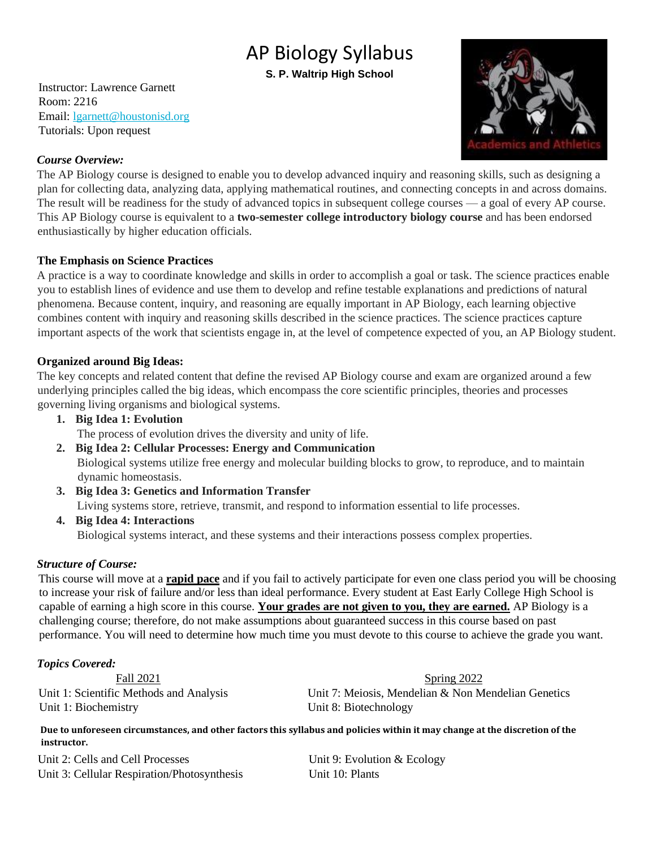# AP Biology Syllabus

**S. P. Waltrip High School** 

Instructor: Lawrence Garnett Room: 2216 Email: lgarnett@houstonisd.org Tutorials: Upon request



### *Course Overview:*

The AP Biology course is designed to enable you to develop advanced inquiry and reasoning skills, such as designing a plan for collecting data, analyzing data, applying mathematical routines, and connecting concepts in and across domains. The result will be readiness for the study of advanced topics in subsequent college courses — a goal of every AP course. This AP Biology course is equivalent to a **two-semester college introductory biology course** and has been endorsed enthusiastically by higher education officials.

# **The Emphasis on Science Practices**

A practice is a way to coordinate knowledge and skills in order to accomplish a goal or task. The science practices enable you to establish lines of evidence and use them to develop and refine testable explanations and predictions of natural phenomena. Because content, inquiry, and reasoning are equally important in AP Biology, each learning objective combines content with inquiry and reasoning skills described in the science practices. The science practices capture important aspects of the work that scientists engage in, at the level of competence expected of you, an AP Biology student.

# **Organized around Big Ideas:**

The key concepts and related content that define the revised AP Biology course and exam are organized around a few underlying principles called the big ideas, which encompass the core scientific principles, theories and processes governing living organisms and biological systems.

- **1. Big Idea 1: Evolution**  The process of evolution drives the diversity and unity of life.
- **2. Big Idea 2: Cellular Processes: Energy and Communication**  Biological systems utilize free energy and molecular building blocks to grow, to reproduce, and to maintain dynamic homeostasis.
- **3. Big Idea 3: Genetics and Information Transfer**

Living systems store, retrieve, transmit, and respond to information essential to life processes.

**4. Big Idea 4: Interactions** 

Biological systems interact, and these systems and their interactions possess complex properties.

# *Structure of Course:*

This course will move at a **rapid pace** and if you fail to actively participate for even one class period you will be choosing to increase your risk of failure and/or less than ideal performance. Every student at East Early College High School is capable of earning a high score in this course. **Your grades are not given to you, they are earned.** AP Biology is a challenging course; therefore, do not make assumptions about guaranteed success in this course based on past performance. You will need to determine how much time you must devote to this course to achieve the grade you want.

# *Topics Covered:*

Unit 1: Biochemistry Unit 8: Biotechnology

Fall 2021 Spring 2022 Unit 1: Scientific Methods and Analysis Unit 7: Meiosis, Mendelian & Non Mendelian Genetics

**Due to unforeseen circumstances, and other factors this syllabus and policies within it may change at the discretion of the instructor.** 

Unit 2: Cells and Cell Processes Unit 9: Evolution & Ecology Unit 3: Cellular Respiration/Photosynthesis Unit 10: Plants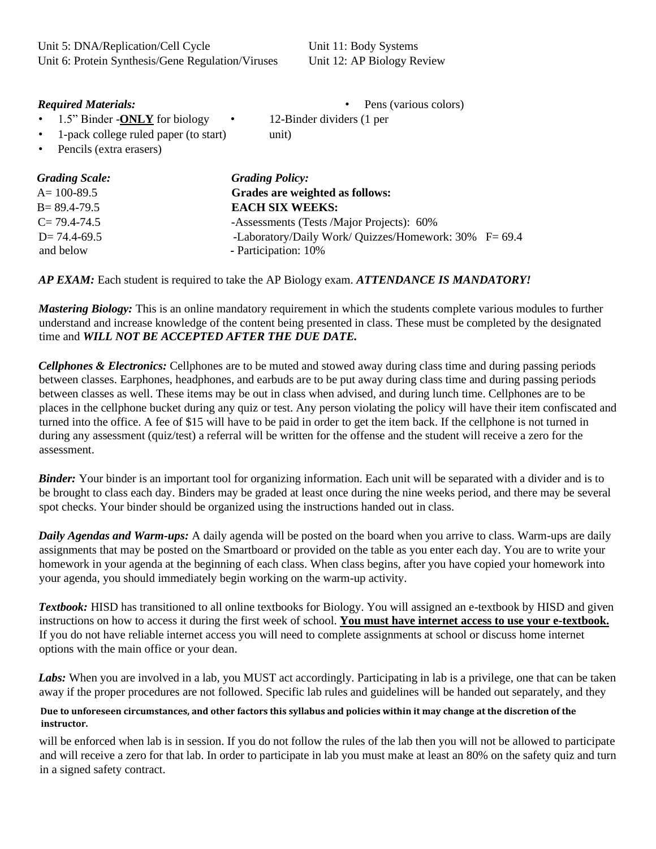Unit 5: DNA/Replication/Cell Cycle Unit 11: Body Systems Unit 6: Protein Synthesis/Gene Regulation/Viruses Unit 12: AP Biology Review

#### *Required Materials:* **•** Pens (various colors)

• 1.5" Binder -**ONLY** for biology • 12-Binder dividers (1 per

• 1-pack college ruled paper (to start) unit)

• Pencils (extra erasers)

| <b>Grading Scale:</b> | <b>Grading Policy:</b>                                |  |
|-----------------------|-------------------------------------------------------|--|
| $A = 100 - 89.5$      | Grades are weighted as follows:                       |  |
| $B = 89.4 - 79.5$     | <b>EACH SIX WEEKS:</b>                                |  |
| $C = 79.4 - 74.5$     | -Assessments (Tests /Major Projects): 60%             |  |
| $D = 74.4 - 69.5$     | -Laboratory/Daily Work/ Quizzes/Homework: 30% F= 69.4 |  |
| and below             | - Participation: 10%                                  |  |
|                       |                                                       |  |

*AP EXAM:* Each student is required to take the AP Biology exam. *ATTENDANCE IS MANDATORY!* 

*Mastering Biology:* This is an online mandatory requirement in which the students complete various modules to further understand and increase knowledge of the content being presented in class. These must be completed by the designated time and *WILL NOT BE ACCEPTED AFTER THE DUE DATE.* 

*Cellphones & Electronics:* Cellphones are to be muted and stowed away during class time and during passing periods between classes. Earphones, headphones, and earbuds are to be put away during class time and during passing periods between classes as well. These items may be out in class when advised, and during lunch time. Cellphones are to be places in the cellphone bucket during any quiz or test. Any person violating the policy will have their item confiscated and turned into the office. A fee of \$15 will have to be paid in order to get the item back. If the cellphone is not turned in during any assessment (quiz/test) a referral will be written for the offense and the student will receive a zero for the assessment.

*Binder:* Your binder is an important tool for organizing information. Each unit will be separated with a divider and is to be brought to class each day. Binders may be graded at least once during the nine weeks period, and there may be several spot checks. Your binder should be organized using the instructions handed out in class.

*Daily Agendas and Warm-ups:* A daily agenda will be posted on the board when you arrive to class. Warm-ups are daily assignments that may be posted on the Smartboard or provided on the table as you enter each day. You are to write your homework in your agenda at the beginning of each class. When class begins, after you have copied your homework into your agenda, you should immediately begin working on the warm-up activity.

*Textbook:* HISD has transitioned to all online textbooks for Biology. You will assigned an e-textbook by HISD and given instructions on how to access it during the first week of school. **You must have internet access to use your e-textbook.** If you do not have reliable internet access you will need to complete assignments at school or discuss home internet options with the main office or your dean.

Labs: When you are involved in a lab, you MUST act accordingly. Participating in lab is a privilege, one that can be taken away if the proper procedures are not followed. Specific lab rules and guidelines will be handed out separately, and they

#### **Due to unforeseen circumstances, and other factors this syllabus and policies within it may change at the discretion of the instructor.**

will be enforced when lab is in session. If you do not follow the rules of the lab then you will not be allowed to participate and will receive a zero for that lab. In order to participate in lab you must make at least an 80% on the safety quiz and turn in a signed safety contract.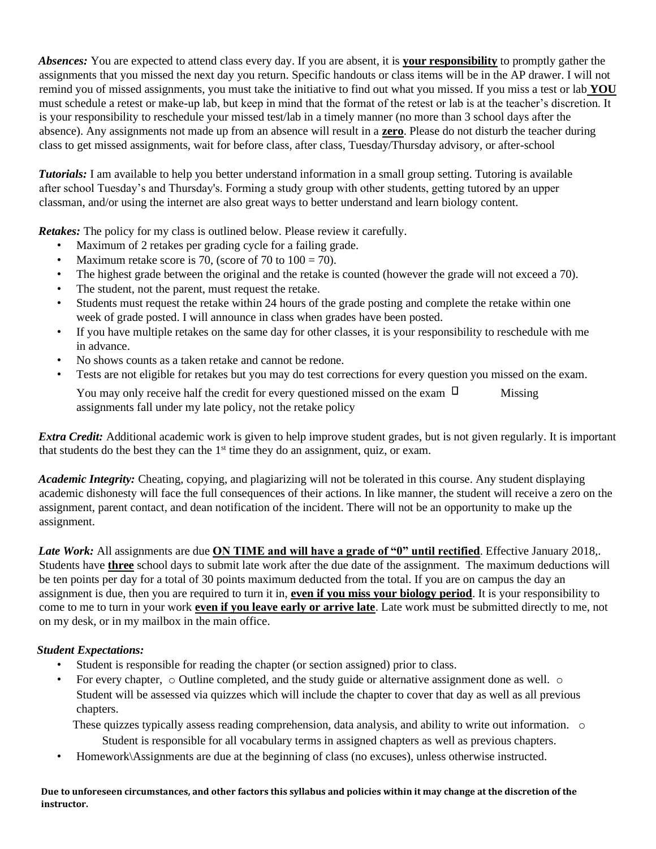*Absences:* You are expected to attend class every day. If you are absent, it is **your responsibility** to promptly gather the assignments that you missed the next day you return. Specific handouts or class items will be in the AP drawer. I will not remind you of missed assignments, you must take the initiative to find out what you missed. If you miss a test or lab **YOU** must schedule a retest or make-up lab, but keep in mind that the format of the retest or lab is at the teacher's discretion. It is your responsibility to reschedule your missed test/lab in a timely manner (no more than 3 school days after the absence). Any assignments not made up from an absence will result in a **zero**. Please do not disturb the teacher during class to get missed assignments, wait for before class, after class, Tuesday/Thursday advisory, or after-school

*Tutorials:* I am available to help you better understand information in a small group setting. Tutoring is available after school Tuesday's and Thursday's. Forming a study group with other students, getting tutored by an upper classman, and/or using the internet are also great ways to better understand and learn biology content.

*Retakes:* The policy for my class is outlined below. Please review it carefully.

- Maximum of 2 retakes per grading cycle for a failing grade.
- Maximum retake score is 70, (score of 70 to  $100 = 70$ ).
- The highest grade between the original and the retake is counted (however the grade will not exceed a 70).
- The student, not the parent, must request the retake.
- Students must request the retake within 24 hours of the grade posting and complete the retake within one week of grade posted. I will announce in class when grades have been posted.
- If you have multiple retakes on the same day for other classes, it is your responsibility to reschedule with me in advance.
- No shows counts as a taken retake and cannot be redone.
- Tests are not eligible for retakes but you may do test corrections for every question you missed on the exam.

You may only receive half the credit for every questioned missed on the exam  $\Box$  Missing assignments fall under my late policy, not the retake policy

*Extra Credit:* Additional academic work is given to help improve student grades, but is not given regularly. It is important that students do the best they can the  $1<sup>st</sup>$  time they do an assignment, quiz, or exam.

*Academic Integrity:* Cheating, copying, and plagiarizing will not be tolerated in this course. Any student displaying academic dishonesty will face the full consequences of their actions. In like manner, the student will receive a zero on the assignment, parent contact, and dean notification of the incident. There will not be an opportunity to make up the assignment.

*Late Work:* All assignments are due **ON TIME and will have a grade of "0" until rectified**. Effective January 2018,. Students have **three** school days to submit late work after the due date of the assignment. The maximum deductions will be ten points per day for a total of 30 points maximum deducted from the total. If you are on campus the day an assignment is due, then you are required to turn it in, **even if you miss your biology period**. It is your responsibility to come to me to turn in your work **even if you leave early or arrive late**. Late work must be submitted directly to me, not on my desk, or in my mailbox in the main office.

# *Student Expectations:*

- Student is responsible for reading the chapter (or section assigned) prior to class.
- For every chapter,  $\circ$  Outline completed, and the study guide or alternative assignment done as well.  $\circ$ Student will be assessed via quizzes which will include the chapter to cover that day as well as all previous chapters.

These quizzes typically assess reading comprehension, data analysis, and ability to write out information. o Student is responsible for all vocabulary terms in assigned chapters as well as previous chapters.

• Homework\Assignments are due at the beginning of class (no excuses), unless otherwise instructed.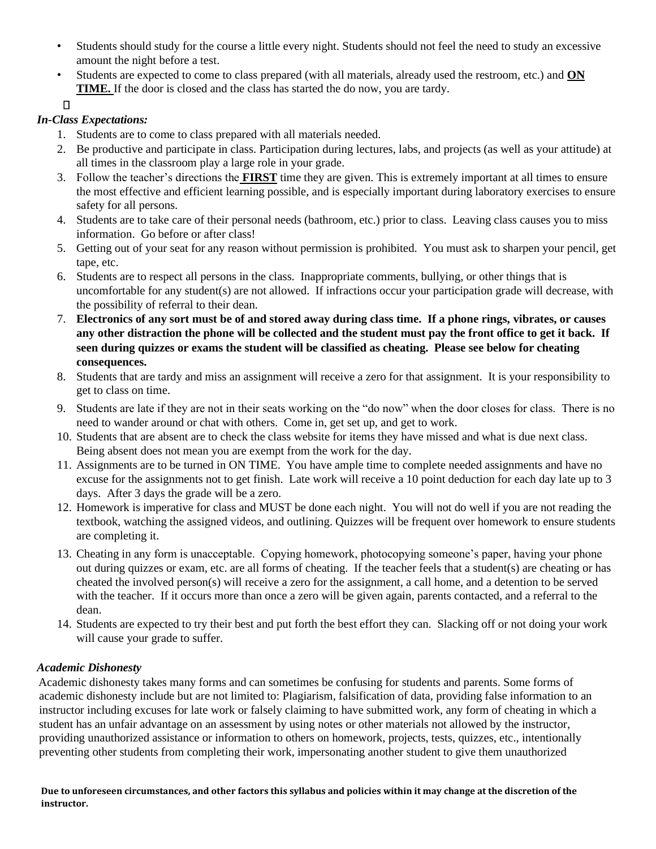- Students should study for the course a little every night. Students should not feel the need to study an excessive amount the night before a test.
- Students are expected to come to class prepared (with all materials, already used the restroom, etc.) and **ON TIME.** If the door is closed and the class has started the do now, you are tardy.

 $\Box$ 

# *In-Class Expectations:*

- 1. Students are to come to class prepared with all materials needed.
- 2. Be productive and participate in class. Participation during lectures, labs, and projects (as well as your attitude) at all times in the classroom play a large role in your grade.
- 3. Follow the teacher's directions the **FIRST** time they are given. This is extremely important at all times to ensure the most effective and efficient learning possible, and is especially important during laboratory exercises to ensure safety for all persons.
- 4. Students are to take care of their personal needs (bathroom, etc.) prior to class. Leaving class causes you to miss information. Go before or after class!
- 5. Getting out of your seat for any reason without permission is prohibited. You must ask to sharpen your pencil, get tape, etc.
- 6. Students are to respect all persons in the class. Inappropriate comments, bullying, or other things that is uncomfortable for any student(s) are not allowed. If infractions occur your participation grade will decrease, with the possibility of referral to their dean.
- 7. **Electronics of any sort must be of and stored away during class time. If a phone rings, vibrates, or causes any other distraction the phone will be collected and the student must pay the front office to get it back. If seen during quizzes or exams the student will be classified as cheating. Please see below for cheating consequences.**
- 8. Students that are tardy and miss an assignment will receive a zero for that assignment. It is your responsibility to get to class on time.
- 9. Students are late if they are not in their seats working on the "do now" when the door closes for class. There is no need to wander around or chat with others. Come in, get set up, and get to work.
- 10. Students that are absent are to check the class website for items they have missed and what is due next class. Being absent does not mean you are exempt from the work for the day.
- 11. Assignments are to be turned in ON TIME. You have ample time to complete needed assignments and have no excuse for the assignments not to get finish. Late work will receive a 10 point deduction for each day late up to 3 days. After 3 days the grade will be a zero.
- 12. Homework is imperative for class and MUST be done each night. You will not do well if you are not reading the textbook, watching the assigned videos, and outlining. Quizzes will be frequent over homework to ensure students are completing it.
- 13. Cheating in any form is unacceptable. Copying homework, photocopying someone's paper, having your phone out during quizzes or exam, etc. are all forms of cheating. If the teacher feels that a student(s) are cheating or has cheated the involved person(s) will receive a zero for the assignment, a call home, and a detention to be served with the teacher. If it occurs more than once a zero will be given again, parents contacted, and a referral to the dean.
- 14. Students are expected to try their best and put forth the best effort they can. Slacking off or not doing your work will cause your grade to suffer.

# *Academic Dishonesty*

Academic dishonesty takes many forms and can sometimes be confusing for students and parents. Some forms of academic dishonesty include but are not limited to: Plagiarism, falsification of data, providing false information to an instructor including excuses for late work or falsely claiming to have submitted work, any form of cheating in which a student has an unfair advantage on an assessment by using notes or other materials not allowed by the instructor, providing unauthorized assistance or information to others on homework, projects, tests, quizzes, etc., intentionally preventing other students from completing their work, impersonating another student to give them unauthorized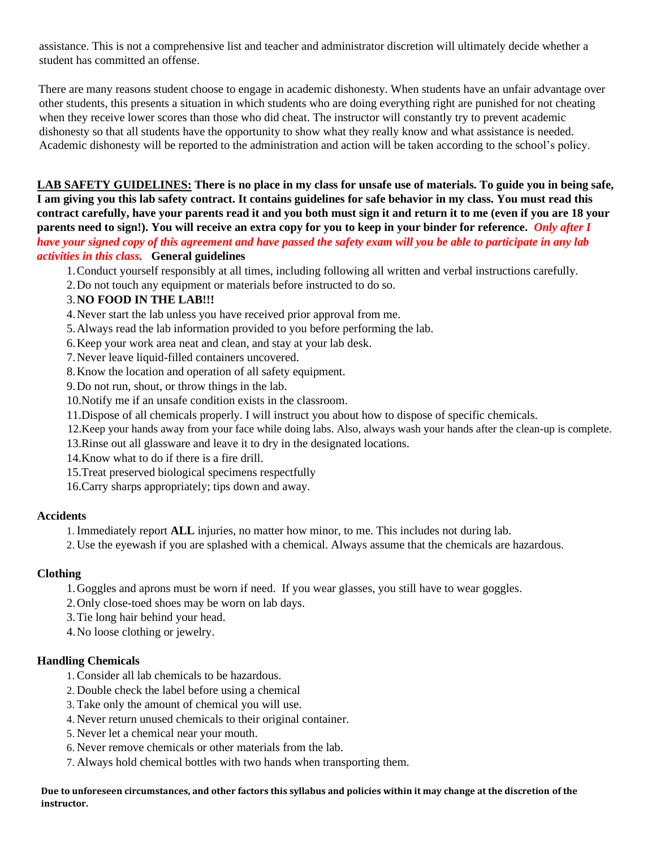assistance. This is not a comprehensive list and teacher and administrator discretion will ultimately decide whether a student has committed an offense.

There are many reasons student choose to engage in academic dishonesty. When students have an unfair advantage over other students, this presents a situation in which students who are doing everything right are punished for not cheating when they receive lower scores than those who did cheat. The instructor will constantly try to prevent academic dishonesty so that all students have the opportunity to show what they really know and what assistance is needed. Academic dishonesty will be reported to the administration and action will be taken according to the school's policy.

**LAB SAFETY GUIDELINES: There is no place in my class for unsafe use of materials. To guide you in being safe, I am giving you this lab safety contract. It contains guidelines for safe behavior in my class. You must read this contract carefully, have your parents read it and you both must sign it and return it to me (even if you are 18 your parents need to sign!). You will receive an extra copy for you to keep in your binder for reference.** *Only after I have your signed copy of this agreement and have passed the safety exam will you be able to participate in any lab activities in this class.* **General guidelines** 

- 1.Conduct yourself responsibly at all times, including following all written and verbal instructions carefully.
- 2.Do not touch any equipment or materials before instructed to do so.

#### 3.**NO FOOD IN THE LAB!!!**

- 4.Never start the lab unless you have received prior approval from me.
- 5.Always read the lab information provided to you before performing the lab.
- 6.Keep your work area neat and clean, and stay at your lab desk.
- 7.Never leave liquid-filled containers uncovered.
- 8.Know the location and operation of all safety equipment.
- 9.Do not run, shout, or throw things in the lab.
- 10.Notify me if an unsafe condition exists in the classroom.
- 11.Dispose of all chemicals properly. I will instruct you about how to dispose of specific chemicals.
- 12.Keep your hands away from your face while doing labs. Also, always wash your hands after the clean-up is complete.
- 13.Rinse out all glassware and leave it to dry in the designated locations.
- 14.Know what to do if there is a fire drill.
- 15.Treat preserved biological specimens respectfully
- 16.Carry sharps appropriately; tips down and away.

#### **Accidents**

- 1. Immediately report **ALL** injuries, no matter how minor, to me. This includes not during lab.
- 2. Use the eyewash if you are splashed with a chemical. Always assume that the chemicals are hazardous.

#### **Clothing**

- 1.Goggles and aprons must be worn if need. If you wear glasses, you still have to wear goggles.
- 2.Only close-toed shoes may be worn on lab days.
- 3.Tie long hair behind your head.
- 4.No loose clothing or jewelry.

#### **Handling Chemicals**

- 1. Consider all lab chemicals to be hazardous.
- 2. Double check the label before using a chemical
- 3. Take only the amount of chemical you will use.
- 4. Never return unused chemicals to their original container.
- 5. Never let a chemical near your mouth.
- 6. Never remove chemicals or other materials from the lab.
- 7. Always hold chemical bottles with two hands when transporting them.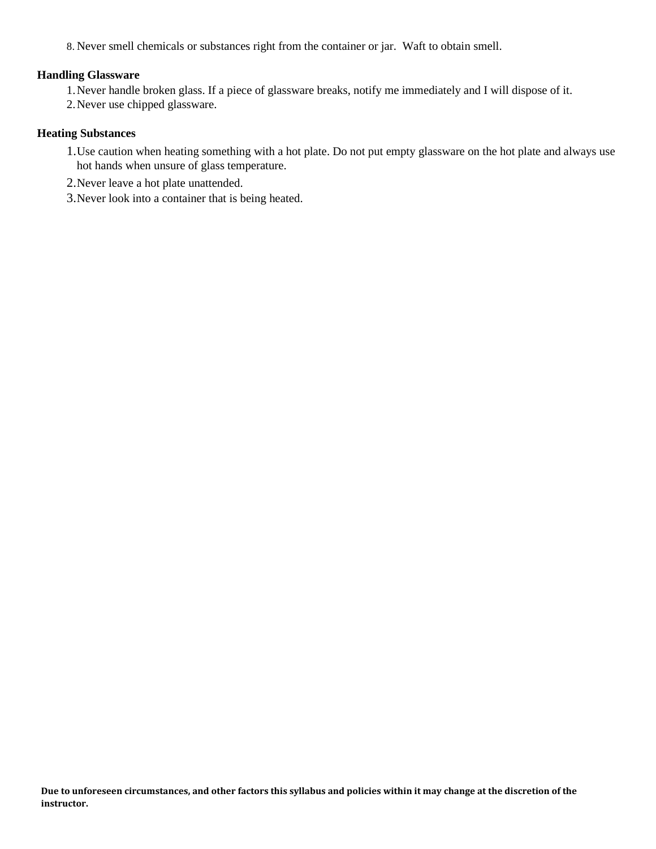8. Never smell chemicals or substances right from the container or jar. Waft to obtain smell.

#### **Handling Glassware**

1.Never handle broken glass. If a piece of glassware breaks, notify me immediately and I will dispose of it.

2.Never use chipped glassware.

#### **Heating Substances**

- 1.Use caution when heating something with a hot plate. Do not put empty glassware on the hot plate and always use hot hands when unsure of glass temperature.
- 2.Never leave a hot plate unattended.
- 3.Never look into a container that is being heated.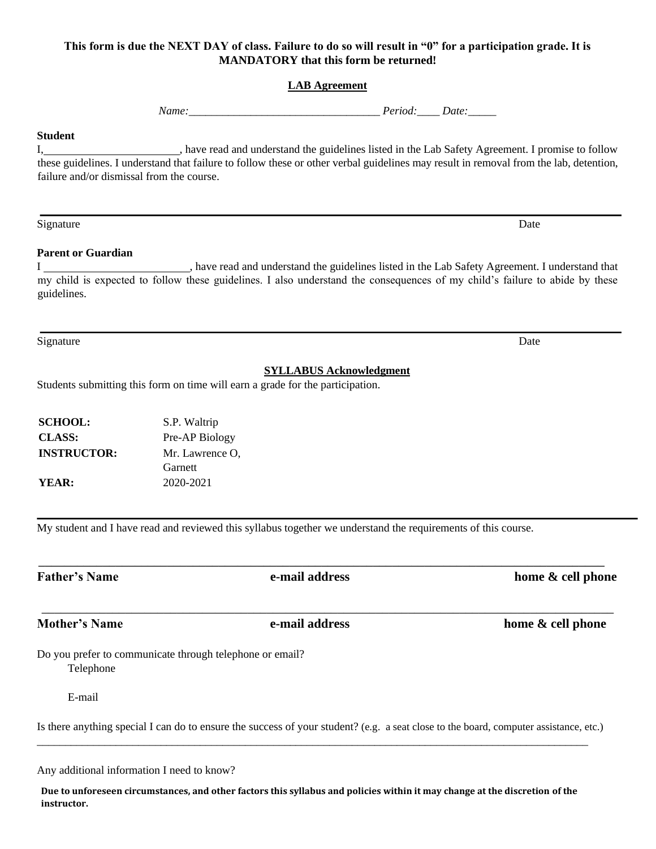# **This form is due the NEXT DAY of class. Failure to do so will result in "0" for a participation grade. It is MANDATORY that this form be returned!**

# **LAB Agreement**

*Name: Period: Date:* 

#### **Student**

I, have read and understand the guidelines listed in the Lab Safety Agreement. I promise to follow these guidelines. I understand that failure to follow these or other verbal guidelines may result in removal from the lab, detention, failure and/or dismissal from the course.

Signature Date Date of the Contract of the Contract of the Contract of the Date Date Date Date of the Contract of the Date of the Contract of the Contract of the Contract of the Contract of the Contract of the Contract of

#### **Parent or Guardian**

I , have read and understand the guidelines listed in the Lab Safety Agreement. I understand that my child is expected to follow these guidelines. I also understand the consequences of my child's failure to abide by these guidelines.

Signature Date Date of the Contract of the Contract of the Contract of the Date Date Date Date of the Contract of the Date of the Contract of the Contract of the Contract of the Contract of the Contract of the Contract of

# **SYLLABUS Acknowledgment**

Students submitting this form on time will earn a grade for the participation.

| <b>SCHOOL:</b>     | S.P. Waltrip    |
|--------------------|-----------------|
| <b>CLASS:</b>      | Pre-AP Biology  |
| <b>INSTRUCTOR:</b> | Mr. Lawrence O. |
|                    | Garnett         |
| YEAR:              | 2020-2021       |

My student and I have read and reviewed this syllabus together we understand the requirements of this course.

 $\_$  , and the set of the set of the set of the set of the set of the set of the set of the set of the set of the set of the set of the set of the set of the set of the set of the set of the set of the set of the set of th **Father's Name e-mail address home & cell phone** \_\_\_\_\_\_\_\_\_\_\_\_\_\_\_\_\_\_\_\_\_\_\_\_\_\_\_\_\_\_\_\_\_\_\_\_\_\_\_\_\_\_\_\_\_\_\_\_\_\_\_\_\_\_\_\_\_\_\_\_\_\_\_\_\_\_\_\_\_\_\_\_\_\_\_\_\_\_\_\_\_\_\_\_\_\_\_\_\_ **Mother's Name e-mail address home & cell phone**  Do you prefer to communicate through telephone or email? Telephone E-mail Is there anything special I can do to ensure the success of your student? (e.g. a seat close to the board, computer assistance, etc.)  $\_$  ,  $\_$  ,  $\_$  ,  $\_$  ,  $\_$  ,  $\_$  ,  $\_$  ,  $\_$  ,  $\_$  ,  $\_$  ,  $\_$  ,  $\_$  ,  $\_$  ,  $\_$  ,  $\_$  ,  $\_$  ,  $\_$  ,  $\_$  ,  $\_$  ,  $\_$  ,  $\_$  ,  $\_$  ,  $\_$  ,  $\_$  ,  $\_$  ,  $\_$  ,  $\_$  ,  $\_$  ,  $\_$  ,  $\_$  ,  $\_$  ,  $\_$  ,  $\_$  ,  $\_$  ,  $\_$  ,  $\_$  ,  $\_$  ,

Any additional information I need to know?